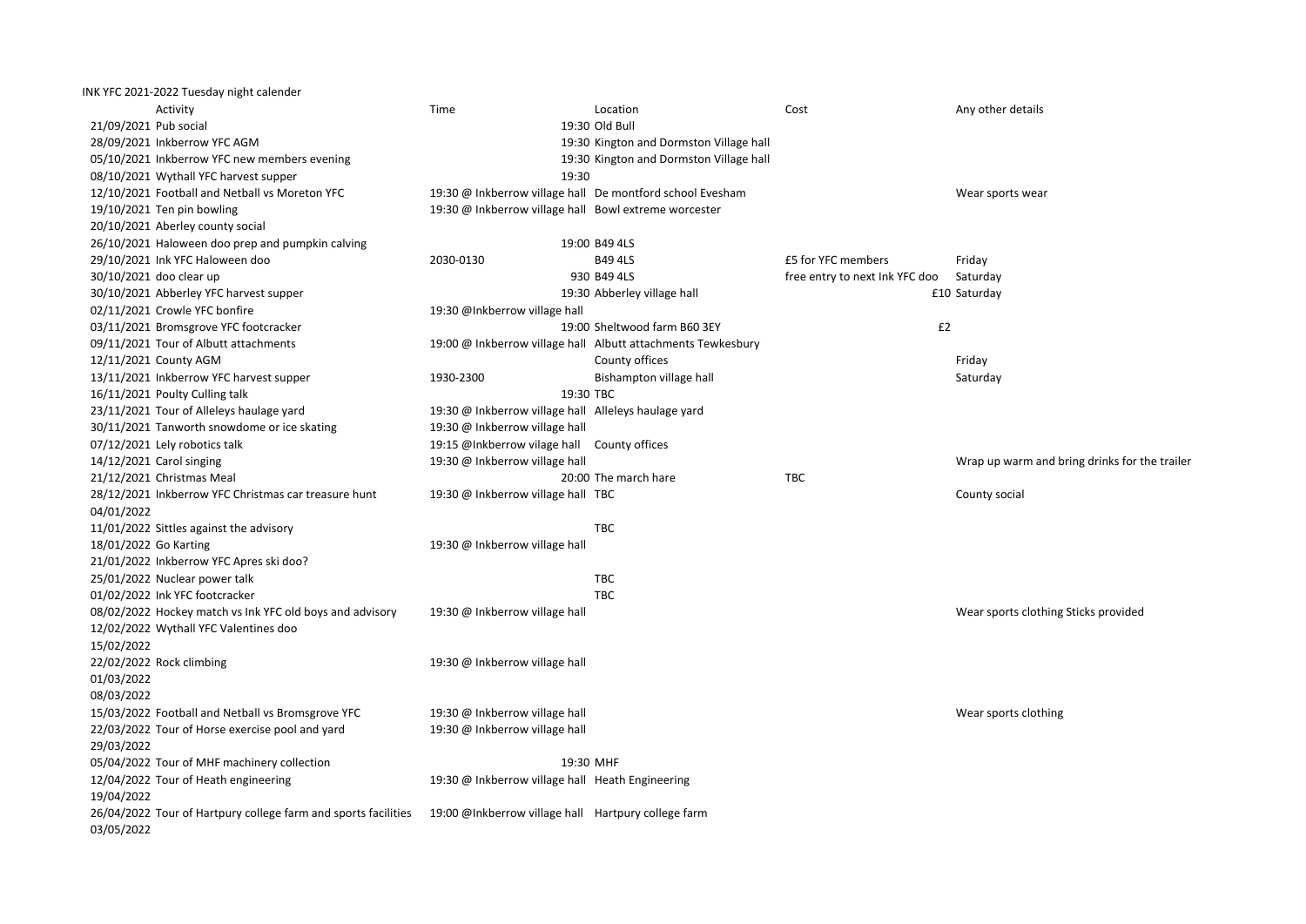| INK YFC 2021-2022 Tuesday night calender                       |                                                       |                                                              |                                |                                               |
|----------------------------------------------------------------|-------------------------------------------------------|--------------------------------------------------------------|--------------------------------|-----------------------------------------------|
| Activity                                                       | Time                                                  | Location                                                     | Cost                           | Any other details                             |
| 21/09/2021 Pub social                                          |                                                       | 19:30 Old Bull                                               |                                |                                               |
| 28/09/2021 Inkberrow YFC AGM                                   |                                                       | 19:30 Kington and Dormston Village hall                      |                                |                                               |
| 05/10/2021 Inkberrow YFC new members evening                   |                                                       | 19:30 Kington and Dormston Village hall                      |                                |                                               |
| 08/10/2021 Wythall YFC harvest supper                          | 19:30                                                 |                                                              |                                |                                               |
| 12/10/2021 Football and Netball vs Moreton YFC                 |                                                       | 19:30 @ Inkberrow village hall De montford school Evesham    |                                | Wear sports wear                              |
| 19/10/2021 Ten pin bowling                                     | 19:30 @ Inkberrow village hall Bowl extreme worcester |                                                              |                                |                                               |
| 20/10/2021 Aberley county social                               |                                                       |                                                              |                                |                                               |
| 26/10/2021 Haloween doo prep and pumpkin calving               |                                                       | 19:00 B49 4LS                                                |                                |                                               |
| 29/10/2021 Ink YFC Haloween doo                                | 2030-0130                                             | <b>B49 4LS</b>                                               | £5 for YFC members             | Friday                                        |
| 30/10/2021 doo clear up                                        |                                                       | 930 B49 4LS                                                  | free entry to next Ink YFC doo | Saturday                                      |
| 30/10/2021 Abberley YFC harvest supper                         |                                                       | 19:30 Abberley village hall                                  |                                | £10 Saturday                                  |
| 02/11/2021 Crowle YFC bonfire                                  | 19:30 @Inkberrow village hall                         |                                                              |                                |                                               |
| 03/11/2021 Bromsgrove YFC footcracker                          |                                                       | 19:00 Sheltwood farm B60 3EY                                 | £2                             |                                               |
| 09/11/2021 Tour of Albutt attachments                          |                                                       | 19:00 @ Inkberrow village hall Albutt attachments Tewkesbury |                                |                                               |
| 12/11/2021 County AGM                                          |                                                       | County offices                                               |                                | Friday                                        |
| 13/11/2021 Inkberrow YFC harvest supper                        | 1930-2300                                             | Bishampton village hall                                      |                                | Saturday                                      |
| 16/11/2021 Poulty Culling talk                                 |                                                       | 19:30 TBC                                                    |                                |                                               |
| 23/11/2021 Tour of Alleleys haulage yard                       | 19:30 @ Inkberrow village hall Alleleys haulage yard  |                                                              |                                |                                               |
| 30/11/2021 Tanworth snowdome or ice skating                    | 19:30 @ Inkberrow village hall                        |                                                              |                                |                                               |
| 07/12/2021 Lely robotics talk                                  | 19:15 @Inkberrow vilage hall County offices           |                                                              |                                |                                               |
| 14/12/2021 Carol singing                                       | 19:30 @ Inkberrow village hall                        |                                                              |                                | Wrap up warm and bring drinks for the trailer |
| 21/12/2021 Christmas Meal                                      |                                                       | 20:00 The march hare                                         | <b>TBC</b>                     |                                               |
| 28/12/2021 Inkberrow YFC Christmas car treasure hunt           | 19:30 @ Inkberrow village hall TBC                    |                                                              |                                | County social                                 |
| 04/01/2022                                                     |                                                       |                                                              |                                |                                               |
| 11/01/2022 Sittles against the advisory                        |                                                       | <b>TBC</b>                                                   |                                |                                               |
| 18/01/2022 Go Karting                                          | 19:30 @ Inkberrow village hall                        |                                                              |                                |                                               |
| 21/01/2022 Inkberrow YFC Apres ski doo?                        |                                                       |                                                              |                                |                                               |
| 25/01/2022 Nuclear power talk                                  |                                                       | <b>TBC</b>                                                   |                                |                                               |
| 01/02/2022 Ink YFC footcracker                                 |                                                       | <b>TBC</b>                                                   |                                |                                               |
| 08/02/2022 Hockey match vs Ink YFC old boys and advisory       | 19:30 @ Inkberrow village hall                        |                                                              |                                | Wear sports clothing Sticks provided          |
| 12/02/2022 Wythall YFC Valentines doo                          |                                                       |                                                              |                                |                                               |
| 15/02/2022                                                     |                                                       |                                                              |                                |                                               |
| 22/02/2022 Rock climbing                                       | 19:30 @ Inkberrow village hall                        |                                                              |                                |                                               |
| 01/03/2022                                                     |                                                       |                                                              |                                |                                               |
| 08/03/2022                                                     |                                                       |                                                              |                                |                                               |
| 15/03/2022 Football and Netball vs Bromsgrove YFC              | 19:30 @ Inkberrow village hall                        |                                                              |                                | Wear sports clothing                          |
| 22/03/2022 Tour of Horse exercise pool and yard                | 19:30 @ Inkberrow village hall                        |                                                              |                                |                                               |
| 29/03/2022                                                     |                                                       |                                                              |                                |                                               |
| 05/04/2022 Tour of MHF machinery collection                    |                                                       | 19:30 MHF                                                    |                                |                                               |
| 12/04/2022 Tour of Heath engineering                           | 19:30 @ Inkberrow village hall Heath Engineering      |                                                              |                                |                                               |
| 19/04/2022                                                     |                                                       |                                                              |                                |                                               |
| 26/04/2022 Tour of Hartpury college farm and sports facilities | 19:00 @Inkberrow village hall Hartpury college farm   |                                                              |                                |                                               |
| 03/05/2022                                                     |                                                       |                                                              |                                |                                               |